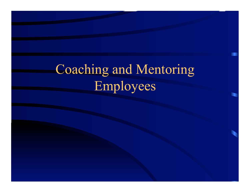# Coaching and Mentoring Employees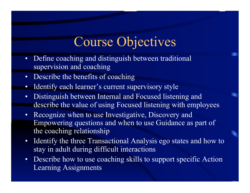#### Course Objectives

- Define coaching and distinguish between traditional supervision and coaching
- Describe the benefits of coaching
- Identify each learner's current supervisory style
- Distinguish between Internal and Focused listening and describe the value of using Focused listening with employees
- Recognize when to use Investigative, Discovery and Empowering questions and when to use Guidance as part of the coaching relationship
- Identify the three Transactional Analysis ego states and how to stay in adult during difficult interactions
- Describe how to use coaching skills to support specific Action Learning Assignments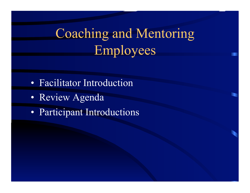# Coaching and Mentoring Employees

- Facilitator Introduction
- Review Agenda
- Participant Introductions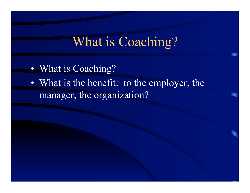#### What is Coaching?

- What is Coaching?
- What is the benefit: to the employer, the manager, the organization?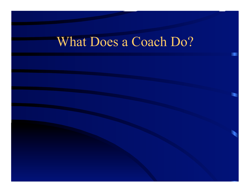## What Does a Coach Do?

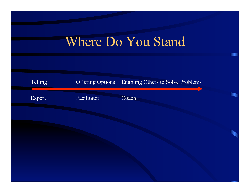## Where Do You Stand

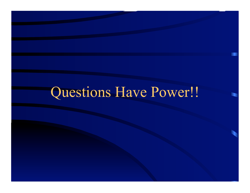# Questions Have Power!!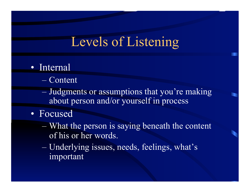#### Levels of Listening

#### • Internal

- Content
- Judgments or assumptions that you're making about person and/or yourself in process
- Focused
	- What the person is saying beneath the content of his or her words.
	- Underlying issues, needs, feelings, what's important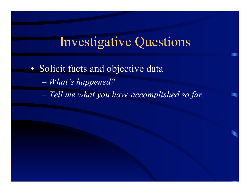#### Investigative Questions

• Solicit facts and objective data – *What's happened?*  – *Tell me what you have accomplished so far.*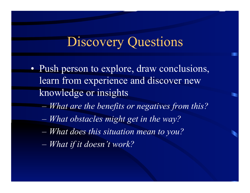#### Discovery Questions

- Push person to explore, draw conclusions, learn from experience and discover new knowledge or insights
	- *What are the benefits or negatives from this?*
	- *What obstacles might get in the way?*
	- *What does this situation mean to you?*
	- *What if it doesn't work?*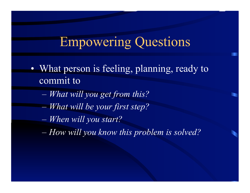## Empowering Questions

- What person is feeling, planning, ready to commit to
	- *What will you get from this?*
	- *What will be your first step?*
	- *When will you start?*
	- *How will you know this problem is solved?*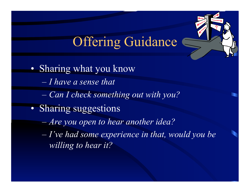# **Offering Guidance**

• Sharing what you know – *I have a sense that*  – *Can I check something out with you?*  • Sharing suggestions – *Are you open to hear another idea?*  – *I've had some experience in that, would you be willing to hear it?*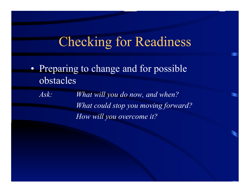#### Checking for Readiness

• Preparing to change and for possible obstacles

*Ask: What will you do now, and when? What could stop you moving forward? How will you overcome it?*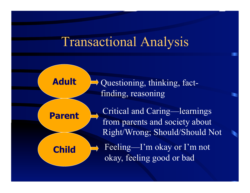#### Transactional Analysis



Questioning, thinking, factfinding, reasoning

Critical and Caring—learnings from parents and society about Right/Wrong; Should/Should Not Feeling—I'm okay or I'm not okay, feeling good or bad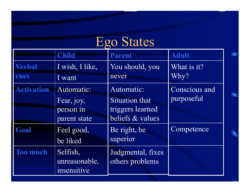# Ego States

п

n

|                   | <b>Child</b>    | <b>Parent</b>         | <b>Adult</b>  |
|-------------------|-----------------|-----------------------|---------------|
| <b>Verbal</b>     | I wish, I like, | You should, you       | What is it?   |
| cues              | I want          | never                 | Why?          |
| <b>Activation</b> | Automatic:      | Automatic:            | Conscious and |
|                   | Fear, joy,      | <b>Situation that</b> | purposeful    |
|                   | person in       | triggers learned      |               |
|                   | parent state    | beliefs & values      |               |
| Goal              | Feel good,      | Be right, be          | Competence    |
|                   | be liked        | superior              |               |
| <b>Too much</b>   | Selfish,        | Judgmental, fixes     |               |
|                   | unreasonable,   | others problems       |               |
|                   | insensitive     |                       |               |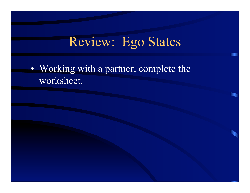# Review: Ego States

• Working with a partner, complete the worksheet.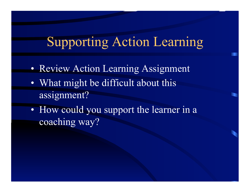#### Supporting Action Learning

- Review Action Learning Assignment
- What might be difficult about this assignment?
- How could you support the learner in a coaching way?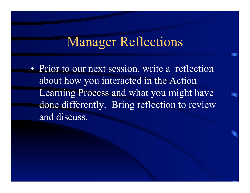#### Manager Reflections

• Prior to our next session, write a reflection about how you interacted in the Action Learning Process and what you might have done differently. Bring reflection to review and discuss.